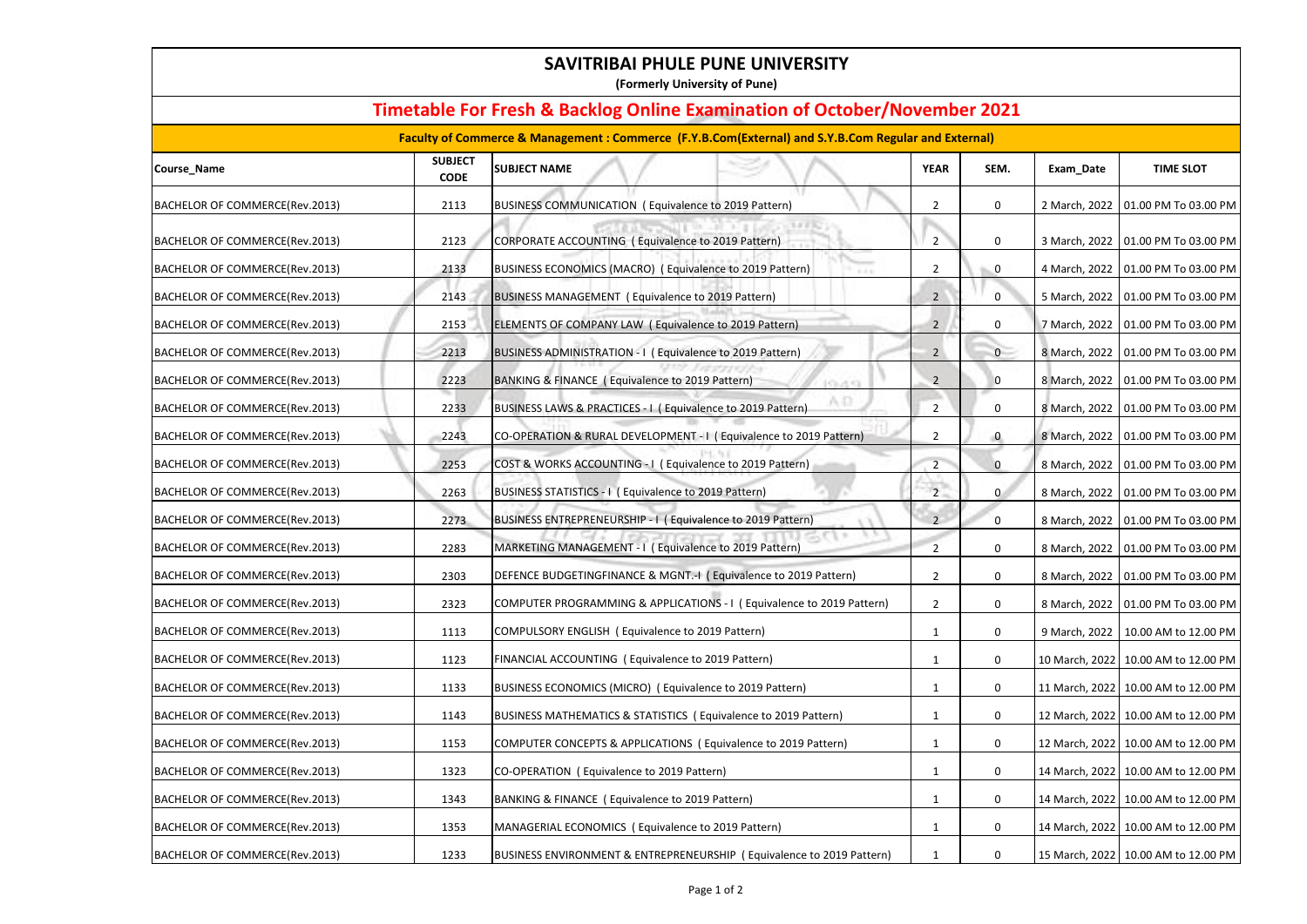| SAVITRIBAI PHULE PUNE UNIVERSITY<br>(Formerly University of Pune)                                                                                                                           |      |                                                                         |                |                |               |                                      |  |  |  |  |
|---------------------------------------------------------------------------------------------------------------------------------------------------------------------------------------------|------|-------------------------------------------------------------------------|----------------|----------------|---------------|--------------------------------------|--|--|--|--|
| <b>Timetable For Fresh &amp; Backlog Online Examination of October/November 2021</b><br>Faculty of Commerce & Management: Commerce (F.Y.B.Com(External) and S.Y.B.Com Regular and External) |      |                                                                         |                |                |               |                                      |  |  |  |  |
|                                                                                                                                                                                             |      |                                                                         |                |                |               |                                      |  |  |  |  |
| BACHELOR OF COMMERCE(Rev.2013)                                                                                                                                                              | 2113 | <b>BUSINESS COMMUNICATION (Equivalence to 2019 Pattern)</b>             | $\overline{2}$ | $\mathbf 0$    |               | 2 March, 2022   01.00 PM To 03.00 PM |  |  |  |  |
| BACHELOR OF COMMERCE(Rev.2013)                                                                                                                                                              | 2123 | CORPORATE ACCOUNTING (Equivalence to 2019 Pattern)                      | $\overline{2}$ | $\mathbf 0$    | 3 March, 2022 | 01.00 PM To 03.00 PM                 |  |  |  |  |
| BACHELOR OF COMMERCE(Rev.2013)                                                                                                                                                              | 2133 | BUSINESS ECONOMICS (MACRO) (Equivalence to 2019 Pattern)                | $\overline{2}$ | $\mathbf 0$    | 4 March, 2022 | 01.00 PM To 03.00 PM                 |  |  |  |  |
| BACHELOR OF COMMERCE(Rev.2013)                                                                                                                                                              | 2143 | BUSINESS MANAGEMENT (Equivalence to 2019 Pattern)                       | $\mathbf{2}$   | 0              |               | 5 March, 2022   01.00 PM To 03.00 PM |  |  |  |  |
| BACHELOR OF COMMERCE(Rev.2013)                                                                                                                                                              | 2153 | ELEMENTS OF COMPANY LAW (Equivalence to 2019 Pattern)                   | $2^{\circ}$    | $\mathbf 0$    |               | 7 March, 2022   01.00 PM To 03.00 PM |  |  |  |  |
| BACHELOR OF COMMERCE(Rev.2013)                                                                                                                                                              | 2213 | BUSINESS ADMINISTRATION - I (Equivalence to 2019 Pattern)               | $2^{\circ}$    | $\overline{0}$ |               | 8 March, 2022   01.00 PM To 03.00 PM |  |  |  |  |
| BACHELOR OF COMMERCE(Rev.2013)                                                                                                                                                              | 2223 | BANKING & FINANCE (Equivalence to 2019 Pattern)<br><b>CLASS</b>         | $\overline{2}$ | $\overline{0}$ | 8 March, 2022 | 01.00 PM To 03.00 PM                 |  |  |  |  |
| BACHELOR OF COMMERCE(Rev.2013)                                                                                                                                                              | 2233 | BUSINESS LAWS & PRACTICES - I ( Equivalence to 2019 Pattern)            | $2^{\circ}$    | $\mathbf 0$    |               | 8 March, 2022   01.00 PM To 03.00 PM |  |  |  |  |
| BACHELOR OF COMMERCE(Rev.2013)                                                                                                                                                              | 2243 | CO-OPERATION & RURAL DEVELOPMENT - I ( Equivalence to 2019 Pattern)     | $\mathbf{2}$   | $\mathbf{0}$   |               | 8 March, 2022   01.00 PM To 03.00 PM |  |  |  |  |
| BACHELOR OF COMMERCE(Rev.2013)                                                                                                                                                              | 2253 | COST & WORKS ACCOUNTING - I ( Equivalence to 2019 Pattern)              | $2^{\circ}$    | $\mathbf{0}$   |               | 8 March, 2022   01.00 PM To 03.00 PM |  |  |  |  |
| BACHELOR OF COMMERCE(Rev.2013)                                                                                                                                                              | 2263 | BUSINESS STATISTICS - I ( Equivalence to 2019 Pattern)                  | $\overline{2}$ | $\mathbf 0$    | 8 March, 2022 | 01.00 PM To 03.00 PM                 |  |  |  |  |
| BACHELOR OF COMMERCE(Rev.2013)                                                                                                                                                              | 2273 | BUSINESS ENTREPRENEURSHIP - I (Equivalence to 2019 Pattern)             | $2 -$          | $\overline{0}$ |               | 8 March, 2022   01.00 PM To 03.00 PM |  |  |  |  |
| BACHELOR OF COMMERCE(Rev.2013)                                                                                                                                                              | 2283 | $H. \nabla G$<br>MARKETING MANAGEMENT - I (Equivalence to 2019 Pattern) | 2              | $\mathbf 0$    |               | 8 March, 2022   01.00 PM To 03.00 PM |  |  |  |  |
| BACHELOR OF COMMERCE(Rev.2013)                                                                                                                                                              | 2303 | DEFENCE BUDGETINGFINANCE & MGNT.-I (Equivalence to 2019 Pattern)        | $\overline{2}$ | $\mathbf 0$    |               | 8 March, 2022   01.00 PM To 03.00 PM |  |  |  |  |
| BACHELOR OF COMMERCE(Rev.2013)                                                                                                                                                              | 2323 | COMPUTER PROGRAMMING & APPLICATIONS - I (Equivalence to 2019 Pattern)   | $\overline{2}$ | $\mathbf 0$    | 8 March, 2022 | 01.00 PM To 03.00 PM                 |  |  |  |  |
| BACHELOR OF COMMERCE(Rev.2013)                                                                                                                                                              | 1113 | COMPULSORY ENGLISH (Equivalence to 2019 Pattern)                        |                | $\mathbf 0$    | 9 March, 2022 | 10.00 AM to 12.00 PM                 |  |  |  |  |
| BACHELOR OF COMMERCE(Rev.2013)                                                                                                                                                              | 1123 | FINANCIAL ACCOUNTING (Equivalence to 2019 Pattern)                      | 1              | $\mathbf 0$    |               | 10 March, 2022 10.00 AM to 12.00 PM  |  |  |  |  |
| BACHELOR OF COMMERCE(Rev.2013)                                                                                                                                                              | 1133 | BUSINESS ECONOMICS (MICRO) (Equivalence to 2019 Pattern)                |                | $\mathbf 0$    |               | 11 March, 2022 10.00 AM to 12.00 PM  |  |  |  |  |
| BACHELOR OF COMMERCE(Rev.2013)                                                                                                                                                              | 1143 | BUSINESS MATHEMATICS & STATISTICS (Equivalence to 2019 Pattern)         | 1              | $\mathbf 0$    |               | 12 March, 2022 10.00 AM to 12.00 PM  |  |  |  |  |
| BACHELOR OF COMMERCE(Rev.2013)                                                                                                                                                              | 1153 | COMPUTER CONCEPTS & APPLICATIONS (Equivalence to 2019 Pattern)          |                | $\mathbf 0$    |               | 12 March, 2022 10.00 AM to 12.00 PM  |  |  |  |  |
| BACHELOR OF COMMERCE(Rev.2013)                                                                                                                                                              | 1323 | CO-OPERATION (Equivalence to 2019 Pattern)                              | 1              | $\mathbf 0$    |               | 14 March, 2022 10.00 AM to 12.00 PM  |  |  |  |  |
| BACHELOR OF COMMERCE(Rev.2013)                                                                                                                                                              | 1343 | BANKING & FINANCE (Equivalence to 2019 Pattern)                         |                | $\mathbf 0$    |               | 14 March, 2022 10.00 AM to 12.00 PM  |  |  |  |  |
| BACHELOR OF COMMERCE(Rev.2013)                                                                                                                                                              | 1353 | MANAGERIAL ECONOMICS (Equivalence to 2019 Pattern)                      |                | $\mathbf 0$    |               | 14 March, 2022 10.00 AM to 12.00 PM  |  |  |  |  |
| BACHELOR OF COMMERCE(Rev.2013)                                                                                                                                                              | 1233 | BUSINESS ENVIRONMENT & ENTREPRENEURSHIP (Equivalence to 2019 Pattern)   | 1              | $\mathbf 0$    |               | 15 March, 2022 10.00 AM to 12.00 PM  |  |  |  |  |